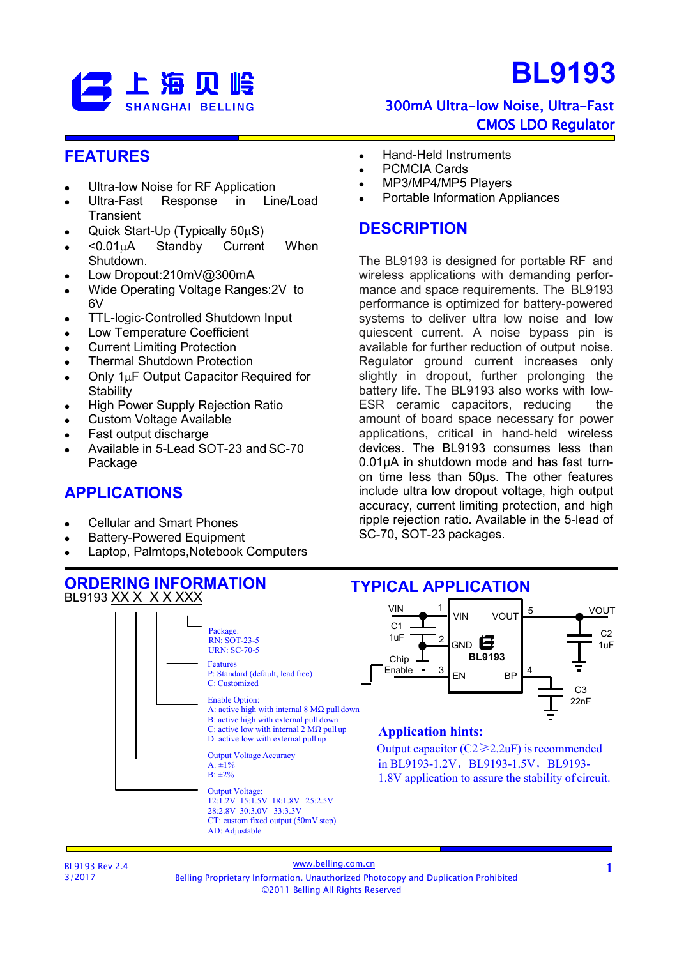

#### 300mA Ultra-low Noise, Ultra-Fast CMOS LDO Regulator

#### **FEATURES**

- Ultra-low Noise for RF Application
- Ultra-Fast Response in Line/Load **Transient**
- Quick Start-Up (Typically 50µS)
- <0.01µA Standby Current When Shutdown.
- Low Dropout:210mV@300mA
- Wide Operating Voltage Ranges:2V to 6V
- **TTL-logic-Controlled Shutdown Input**
- Low Temperature Coefficient
- Current Limiting Protection
- Thermal Shutdown Protection
- Only 1µF Output Capacitor Required for **Stability**
- High Power Supply Rejection Ratio
- Custom Voltage Available
- Fast output discharge
- Available in 5-Lead SOT-23 and SC-70 Package

#### **APPLICATIONS**

- Cellular and Smart Phones
- Battery-Powered Equipment
- Laptop, Palmtops,Notebook Computers

#### **ORDERING INFORMATION** BL9193 XX X X X XXX





#### • Hand-Held Instruments

- PCMCIA Cards
- MP3/MP4/MP5 Players
- Portable Information Appliances

#### **DESCRIPTION**

The BL9193 is designed for portable RF and wireless applications with demanding performance and space requirements. The BL9193 performance is optimized for battery-powered systems to deliver ultra low noise and low quiescent current. A noise bypass pin is available for further reduction of output noise. Regulator ground current increases only slightly in dropout, further prolonging the battery life. The BL9193 also works with low-ESR ceramic capacitors, reducing the amount of board space necessary for power applications, critical in hand-held wireless devices. The BL9193 consumes less than 0.01µA in shutdown mode and has fast turnon time less than 50µs. The other features include ultra low dropout voltage, high output accuracy, current limiting protection, and high ripple rejection ratio. Available in the 5-lead of SC-70, SOT-23 packages.

#### **TYPICAL APPLICATION**



#### **Application hints:**

Output capacitor  $(C2 \ge 2.2uF)$  is recommended in BL9193-1.2V, BL9193-1.5V, BL9193-1.8V application to assure the stability of circuit.

BL9193 Rev 2.4 3/2017

www.belling.com.cn Belling Proprietary Information. Unauthorized Photocopy and Duplication Prohibited ©2011 Belling All Rights Reserved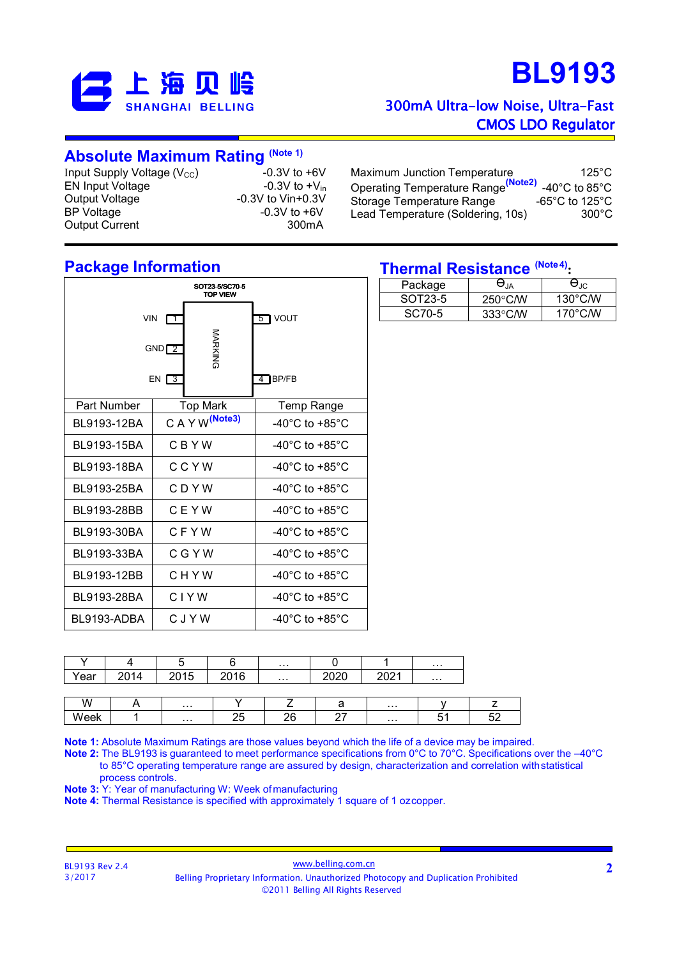

#### 300mA Ultra-low Noise, Ultra-Fast CMOS LDO Regulator

#### **Absolute Maximum Rating (Note 1)**

| Input Supply Voltage (V <sub>cc</sub> ) | $-0.3V$ to $+6V$       |
|-----------------------------------------|------------------------|
| <b>EN Input Voltage</b>                 | $-0.3V$ to $+V_{in}$   |
| Output Voltage                          | $-0.3V$ to Vin $+0.3V$ |
| <b>BP Voltage</b>                       | $-0.3V$ to $+6V$       |
| <b>Output Current</b>                   | 300 <sub>m</sub> A     |
|                                         |                        |

| -----              |
|--------------------|
| $-0.3V$ to $+6V$   |
| -0.3V to $+V_{ir}$ |
| -0.3V to Vin+0.3V  |
| $-0.3V$ to $+6V$   |
| 300 <sub>m</sub> A |

Maximum Junction Temperature 125°C Operating Temperature Range**(Note2)** -40°C to 85°C Storage Temperature Range -65°C to 125°C Lead Temperature (Soldering, 10s) 300°C

|             | SOT23-5/SC70-5<br><b>TOP VIEW</b>                |                                      |
|-------------|--------------------------------------------------|--------------------------------------|
| <b>VIN</b>  | MARKING<br>$GND$ <sup>2</sup><br>$EN$ $\sqrt{3}$ | 51 VOUT<br>4 BP/FB                   |
| Part Number | <b>Top Mark</b>                                  | Temp Range                           |
| BL9193-12BA | CAYW <sup>(Note3)</sup>                          | -40°C to +85°C                       |
| BL9193-15BA | CBYW                                             | -40 $^{\circ}$ C to +85 $^{\circ}$ C |
| BL9193-18BA | CCYW                                             | -40°C to +85°C                       |
| BL9193-25BA | CDYW                                             | -40 $^{\circ}$ C to +85 $^{\circ}$ C |
| BL9193-28BB | CEYW                                             | -40°C to +85°C                       |
| BL9193-30BA | C F Y W                                          | -40°C to +85°C                       |
| BL9193-33BA | CGYW                                             | -40°C to +85°C                       |
| BL9193-12BB | CHYW                                             | -40 $^{\circ}$ C to +85 $^{\circ}$ C |
| BL9193-28BA | CIYW                                             | -40 $^{\circ}$ C to +85 $^{\circ}$ C |
| BL9193-ADBA | CJYW                                             | -40°C to +85°C                       |

#### **Package Information Thermal Resistance**  $(Note 4)$ **:**

| Package | O.IA              | ⊖.ור              |
|---------|-------------------|-------------------|
| SOT23-5 | $250^{\circ}$ C/W | $130^{\circ}$ C/W |
| SC70-5  | $333^{\circ}$ C/W | $170^{\circ}$ CM  |

| $\cdot$ |          |                      |      | $\cdots$ |           |           | $\cdots$ |         |
|---------|----------|----------------------|------|----------|-----------|-----------|----------|---------|
| Year    | 2014     | 2015                 | 2016 | $\cdots$ | 2020      | 2001<br>⊷ | $\cdots$ |         |
|         |          |                      |      |          |           |           |          |         |
| W       | <i>r</i> | $\sim$ $\sim$ $\sim$ |      |          | а         | $\cdots$  |          |         |
| Week    |          | $\cdots$             | 25   | 26       | ^7<br>, I | $\cdots$  | 51       | πΩ<br>ັ |

**Note 1:** Absolute Maximum Ratings are those values beyond which the life of a device may be impaired.

**Note 2:** The BL9193 is guaranteed to meet performance specifications from 0°C to 70°C. Specifications over the –40°C to 85°C operating temperature range are assured by design, characterization and correlation with statistical process controls.

**Note 3:** Y: Year of manufacturing W: Week of manufacturing

**Note 4:** Thermal Resistance is specified with approximately 1 square of 1 oz copper.

www.belling.com.cn

Belling Proprietary Information. Unauthorized Photocopy and Duplication Prohibited ©2011 Belling All Rights Reserved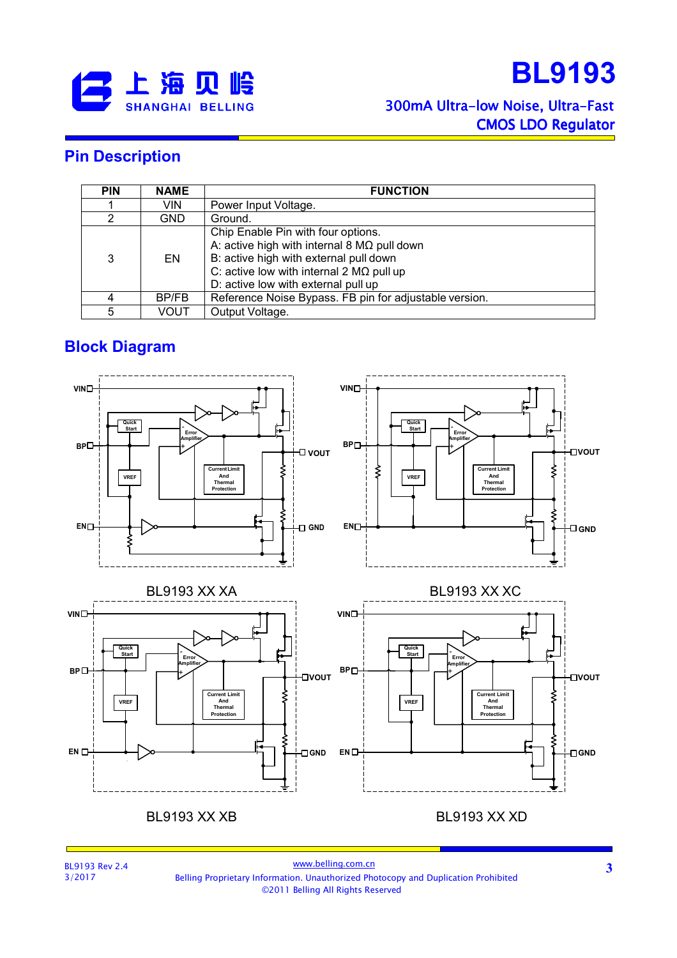

#### **Pin Description**

| <b>PIN</b> | <b>NAME</b> | <b>FUNCTION</b>                                                                                                                                                                                                              |  |
|------------|-------------|------------------------------------------------------------------------------------------------------------------------------------------------------------------------------------------------------------------------------|--|
|            | VIN.        | Power Input Voltage.                                                                                                                                                                                                         |  |
| 2          | <b>GND</b>  | Ground.                                                                                                                                                                                                                      |  |
| 3          | EN          | Chip Enable Pin with four options.<br>A: active high with internal 8 $M\Omega$ pull down<br>B: active high with external pull down<br>C: active low with internal 2 $M\Omega$ pull up<br>D: active low with external pull up |  |
|            | BP/FB       | Reference Noise Bypass. FB pin for adjustable version.                                                                                                                                                                       |  |
| 5          | VOUT        | Output Voltage.                                                                                                                                                                                                              |  |

#### **Block Diagram**

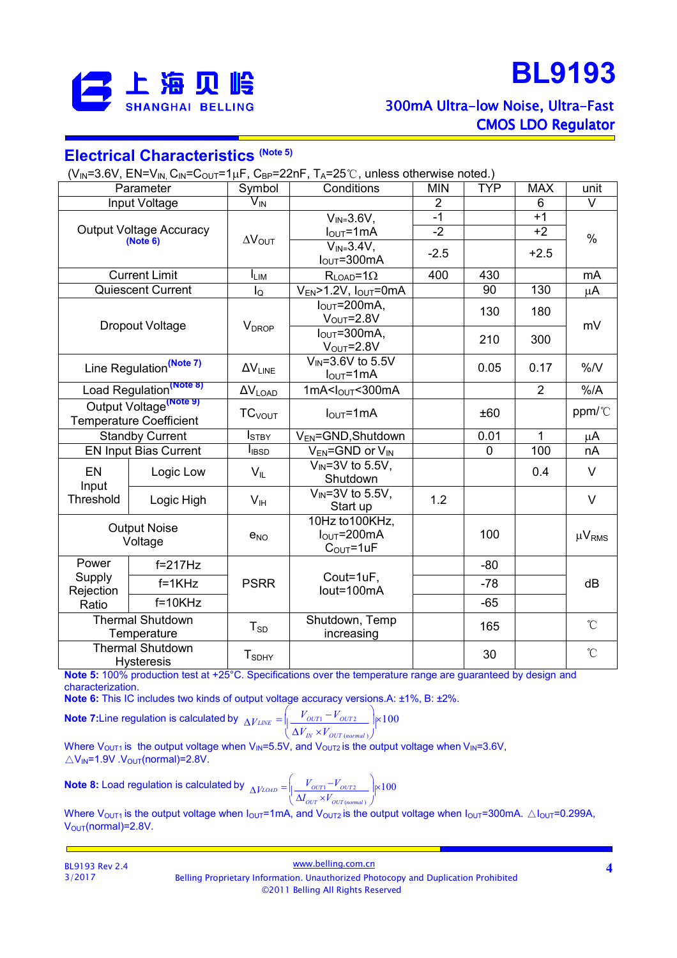

#### 300mA Ultra-low Noise, Ultra-Fast CMOS LDO Regulator

#### **Electrical Characteristics (Note 5)**

( $V_{IN}=3.6V$ , EN= $V_{IN}$ ,  $C_{IN}=C_{OUT}=1\mu F$ ,  $C_{BP}=22nF$ ,  $T_A=25°C$ , unless otherwise noted.)

|                     | Parameter                                                            | Symbol                   | Conditions                                                | <b>MIN</b>      | <b>TYP</b> | <b>MAX</b>     | unit            |  |
|---------------------|----------------------------------------------------------------------|--------------------------|-----------------------------------------------------------|-----------------|------------|----------------|-----------------|--|
|                     | Input Voltage                                                        | V <sub>IN</sub>          |                                                           | $\overline{2}$  |            | 6              | V               |  |
|                     |                                                                      |                          | $V_{IN}=3.6V,$                                            | $-1$            |            | $+1$           |                 |  |
|                     | <b>Output Voltage Accuracy</b><br>(Note 6)                           | $\Delta V_{OUT}$         | $I_{\text{OUT}} = 1 \text{mA}$                            | $\overline{-2}$ |            | $+2$           | $\%$            |  |
|                     |                                                                      |                          | $V_{IN}=3.4V$ ,<br>$I_{\text{OUT}} = 300 \text{mA}$       | $-2.5$          |            | $+2.5$         |                 |  |
|                     | <b>Current Limit</b>                                                 | <b>L</b> IM              | $R_{LOAD} = 1\Omega$                                      | 400             | 430        |                | m <sub>A</sub>  |  |
|                     | <b>Quiescent Current</b>                                             | lq                       | $V_{EN}$ >1.2V, $I_{OUT}$ =0mA                            |                 | 90         | 130            | $\mu$ A         |  |
|                     | Dropout Voltage                                                      | <b>V</b> <sub>DROP</sub> | $IOUT=200mA,$<br>$V_{\text{OUT}} = 2.8V$                  |                 | 130        | 180            | mV              |  |
|                     |                                                                      |                          | $IOUT=300mA,$<br>$V_{OUT} = 2.8V$                         |                 | 210        | 300            |                 |  |
|                     | Line Regulation <sup>(Note 7)</sup>                                  | $\Delta V_{\text{LINE}}$ | $V_{IN} = 3.6V$ to 5.5V<br>$I_{\text{OUT}} = 1 \text{mA}$ |                 | 0.05       | 0.17           | %N              |  |
|                     | Load Regulation <sup>(Note 8)</sup>                                  | $\Delta V_{\text{LOAD}}$ | 1mA< $I_{OUT}$ <300mA                                     |                 |            | $\overline{2}$ | $%$ /A          |  |
|                     | Output Voltage <sup>(Note 9)</sup><br><b>Temperature Coefficient</b> | <b>TC<sub>VOUT</sub></b> | $IOUT=1mA$                                                |                 | ±60        |                | ppm/°C          |  |
|                     | <b>Standby Current</b>                                               | <b>I</b> stby            | V <sub>EN</sub> =GND, Shutdown                            |                 | 0.01       | 1              | μA              |  |
|                     | <b>EN Input Bias Current</b>                                         | <b>I</b> <sub>IBSD</sub> | V <sub>EN</sub> =GND or V <sub>IN</sub>                   |                 | $\Omega$   | 100            | nA              |  |
| EN                  | Logic Low                                                            | $V_{IL}$                 | $V_{IN} = 3V$ to 5.5V.<br>Shutdown                        |                 |            | 0.4            | $\vee$          |  |
| Input<br>Threshold  | Logic High                                                           | V <sub>IH</sub>          | $V_{IN}$ =3V to 5.5V,<br>Start up                         | 1.2             |            |                | $\vee$          |  |
|                     | <b>Output Noise</b><br>Voltage                                       | $e_{NO}$                 | 10Hz to 100KHz,<br>$IOUT=200mA$<br>$C_{OUT} = 1uF$        |                 | 100        |                | $\mu V_{RMS}$   |  |
| Power               | $f=217Hz$                                                            |                          |                                                           |                 | $-80$      |                |                 |  |
| Supply<br>Rejection | $f=1KHz$                                                             | <b>PSRR</b>              | Cout=1uF,<br>lout=100mA                                   |                 | $-78$      |                | dB              |  |
| Ratio               | $f=10KHz$                                                            |                          |                                                           |                 | $-65$      |                |                 |  |
|                     | <b>Thermal Shutdown</b><br>Temperature                               | $T_{SD}$                 | Shutdown, Temp<br>increasing                              |                 | 165        |                | $\mathcal{C}$   |  |
|                     | <b>Thermal Shutdown</b><br>Hysteresis                                | <b>T</b> <sub>SDHY</sub> |                                                           |                 | 30         |                | $\rm ^{\circ}C$ |  |

**Note 5:** 100% production test at +25°C. Specifications over the temperature range are guaranteed by design and characterization.

**Note 6:** This IC includes two kinds of output voltage accuracy versions.A: ±1%, B: ±2%.

**Note 7:** Line regulation is calculated by 
$$
\Delta V_{\text{LINE}} = \left(\frac{V_{\text{OUT1}} - V_{\text{OUT2}}}{\Delta V_{\text{IN}} \times V_{\text{OUT (normal)}}}\right) \approx 100
$$

Where  $V_{\text{OUT1}}$  is the output voltage when  $V_{\text{IN}}$ =5.5V, and  $V_{\text{OUT2}}$  is the output voltage when  $V_{\text{IN}}$ =3.6V,  $\triangle$ V<sub>IN</sub>=1.9V .V<sub>OUT</sub>(normal)=2.8V.

**Note 8: Load regulation is calculated by** 
$$
\Delta V_{LOAD} = \left(\frac{V_{OUT1} - V_{OUT2}}{\Delta I_{OUT} \times V_{OUT(normal)}}\right) \times 100
$$

Where  $V_{\text{OUT1}}$  is the output voltage when  $I_{\text{OUT}}$ =1mA, and  $V_{\text{OUT2}}$  is the output voltage when  $I_{\text{OUT}}$ =300mA.  $\triangle I_{\text{OUT}}$ =0.299A,  $V<sub>OUT</sub>(normal)=2.8V$ .

 $\blacksquare$ 

#### www.belling.com.cn

Belling Proprietary Information. Unauthorized Photocopy and Duplication Prohibited ©2011 Belling All Rights Reserved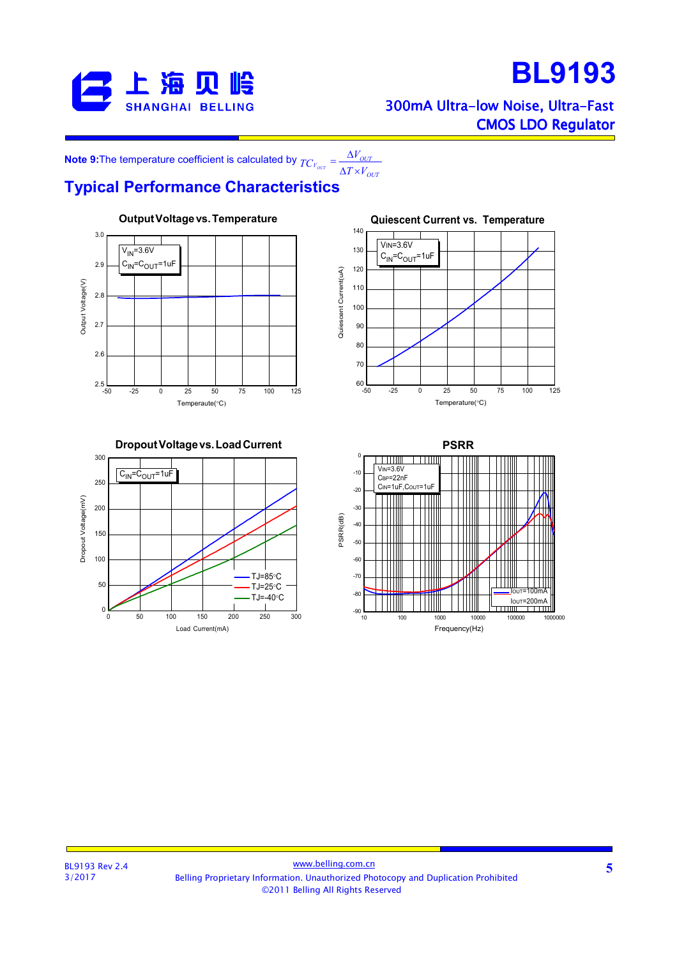

#### 300mA Ultra-low Noise, Ultra-Fast CMOS LDO Regulator

*V* Note 9:The temperature coefficient is calculated by  ${TC}_{\textit{Four}} = \frac{\Delta V_{OUT}}{\Delta T_{OUT}}$ 

 $\Delta T \times V$ <sub>OUT</sub>

### **Typical Performance Characteristics**





**Dropout Voltage vs. Load Current**



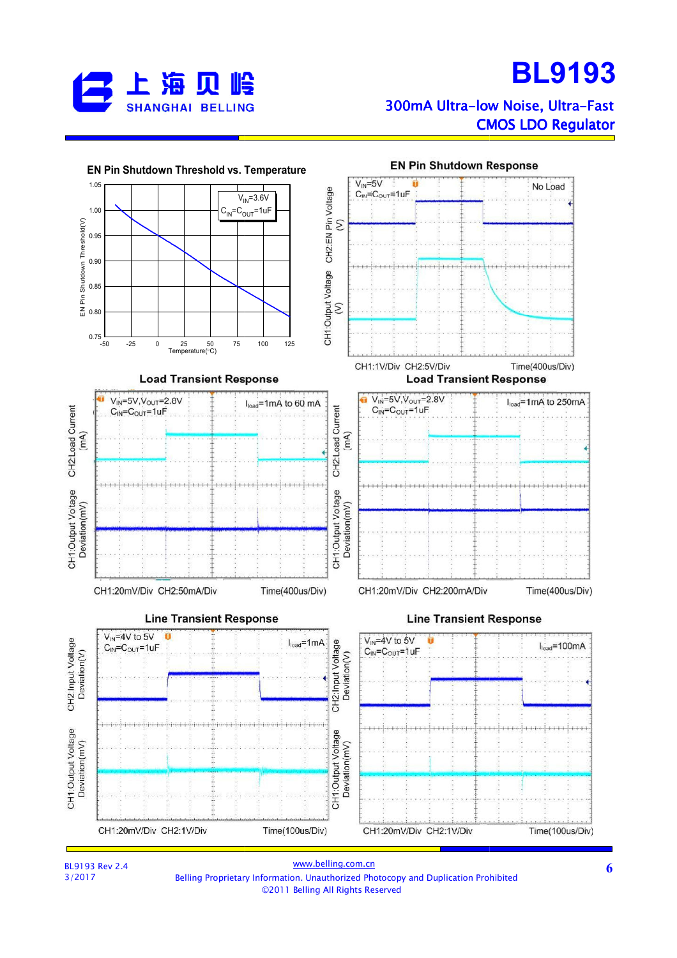

#### 300mA Ultra-low Noise, Ultra-Fast CM MOS LDO Regulator



BL9193 Rev 2.4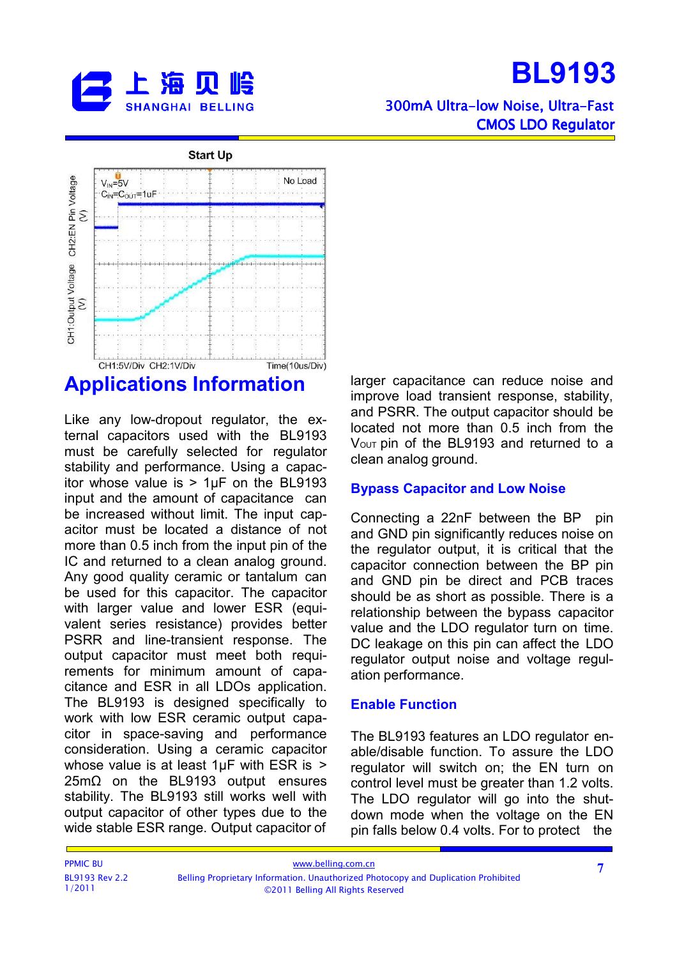

#### 300mA Ultra-low Noise, Ultra-Fast CMOS LDO Regulator



### **Applications Information**

Like any low-dropout regulator, the external capacitors used with the BL9193 must be carefully selected for regulator stability and performance. Using a capacitor whose value is  $> 1 \mu$ F on the BL9193 input and the amount of capacitance can be increased without limit. The input capacitor must be located a distance of not more than 0.5 inch from the input pin of the IC and returned to a clean analog ground. Any good quality ceramic or tantalum can be used for this capacitor. The capacitor with larger value and lower ESR (equivalent series resistance) provides better PSRR and line-transient response. The output capacitor must meet both requirements for minimum amount of capacitance and ESR in all LDOs application. The BL9193 is designed specifically to work with low ESR ceramic output capacitor in space-saving and performance consideration. Using a ceramic capacitor whose value is at least 1µF with ESR is > 25mΩ on the BL9193 output ensures stability. The BL9193 still works well with output capacitor of other types due to the wide stable ESR range. Output capacitor of

larger capacitance can reduce noise and improve load transient response, stability, and PSRR. The output capacitor should be located not more than 0.5 inch from the VOUT pin of the BL9193 and returned to a clean analog ground.

#### **Bypass Capacitor and Low Noise**

Connecting a 22nF between the BP pin and GND pin significantly reduces noise on the regulator output, it is critical that the capacitor connection between the BP pin and GND pin be direct and PCB traces should be as short as possible. There is a relationship between the bypass capacitor value and the LDO regulator turn on time. DC leakage on this pin can affect the LDO regulator output noise and voltage regulation performance.

#### **Enable Function**

The BL9193 features an LDO regulator enable/disable function. To assure the LDO regulator will switch on; the EN turn on control level must be greater than 1.2 volts. The LDO regulator will go into the shutdown mode when the voltage on the EN pin falls below 0.4 volts. For to protect the

| <b>PPMIC BU</b>       |                      |
|-----------------------|----------------------|
| <b>BL9193 Rev 2.2</b> | <b>Belling Propi</b> |
| 1/2011                |                      |

www.belling.com.cn rietary Information. Unauthorized Photocopy and Duplication Prohibited ©2011 Belling All Rights Reserved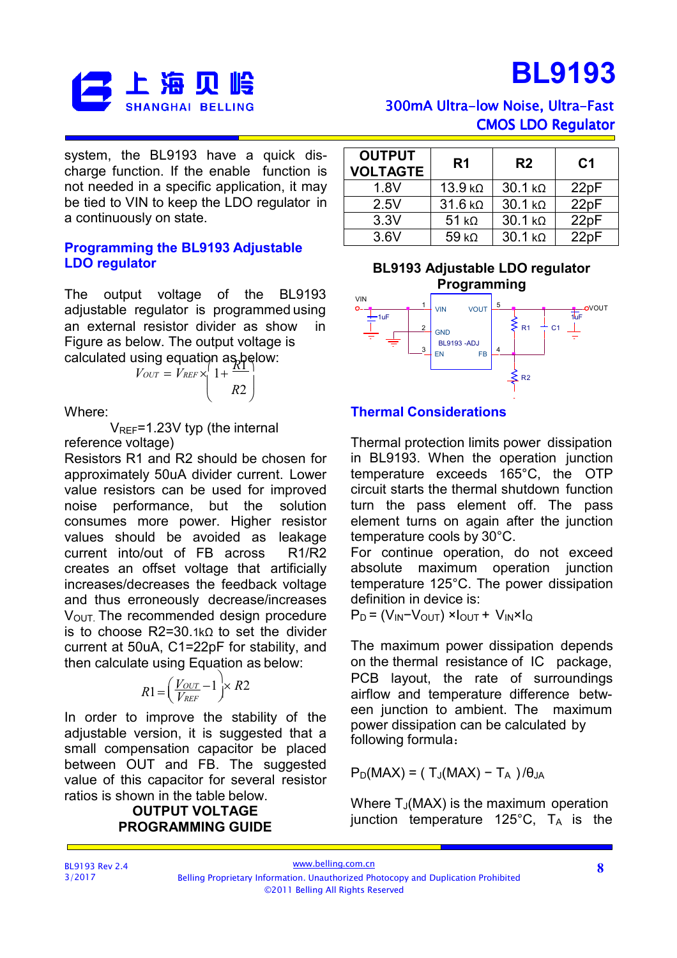

300mA Ultra-low Noise, Ultra-Fast CMOS LDO Regulator

system, the BL9193 have a quick discharge function. If the enable function is not needed in a specific application, it may be tied to VIN to keep the LDO regulator in a continuously on state.

#### **Programming the BL9193 Adjustable LDO regulator**

The output voltage of the BL9193  $_{\rm VIN}$ adjustable regulator is programmed using  $\frac{1}{2}$   $\frac{1}{2}$  VIN VOUT an external resistor divider as show in Figure as below. The output voltage is

calculated using equation as below:  
\n
$$
V_{OUT} = V_{REF} \times \begin{pmatrix} 1 + \frac{1}{2} \\ 1 + \frac{1}{2} \\ R2 \end{pmatrix}
$$

Where:

 $V_{REF}=1.23V$  typ (the internal reference voltage)

Resistors R1 and R2 should be chosen for approximately 50uA divider current. Lower value resistors can be used for improved noise performance, but the solution consumes more power. Higher resistor values should be avoided as leakage current into/out of FB across R1/R2 creates an offset voltage that artificially increases/decreases the feedback voltage and thus erroneously decrease/increases V<sub>OUT</sub>. The recommended design procedure is to choose R2=30.1kΩ to set the divider current at 50uA, C1=22pF for stability, and then calculate using Equation as below:

$$
R1 = \left(\frac{V_{OUT}}{V_{REF}} - 1\right) \times R2
$$

In order to improve the stability of the adjustable version, it is suggested that a small compensation capacitor be placed between OUT and FB. The suggested value of this capacitor for several resistor ratios is shown in the table below.

#### **OUTPUT VOLTAGE PROGRAMMING GUIDE**

| <b>OUTPUT</b><br><b>VOLTAGTE</b> | R <sub>1</sub>      | R <sub>2</sub> | C <sub>1</sub> |
|----------------------------------|---------------------|----------------|----------------|
| 1.8V                             | 13.9 k <sub>Ω</sub> | $30.1 k\Omega$ | 22pF           |
| 2.5V                             | $31.6 k\Omega$      | $30.1 k\Omega$ | 22pF           |
| 3.3V                             | $51 k\Omega$        | $30.1 k\Omega$ | 22pF           |
| 3.6V                             | $59 k\Omega$        | $30.1 k\Omega$ | 22pF           |

#### **BL9193 Adjustable LDO regulator Programming**



#### **Thermal Considerations**

Thermal protection limits power dissipation in BL9193. When the operation junction temperature exceeds 165°C, the OTP circuit starts the thermal shutdown function turn the pass element off. The pass element turns on again after the junction temperature cools by 30°C.

For continue operation, do not exceed absolute maximum operation iunction temperature 125°C. The power dissipation definition in device is:

 $P_D = (V_{IN} - V_{OUT}) \times I_{OUT} + V_{IN} \times I_{Q}$ 

The maximum power dissipation depends on the thermal resistance of IC package, PCB layout, the rate of surroundings airflow and temperature difference between junction to ambient. The maximum power dissipation can be calculated by following formula:

 $P_D(MAX) = (T_J(MAX) - T_A)/\theta_{JA}$ 

Where T<sub>J</sub>(MAX) is the maximum operation junction temperature  $125^{\circ}$ C,  $T_A$  is the

BL9193 Rev 2.4 3/2017

www.belling.com.cn Belling Proprietary Information. Unauthorized Photocopy and Duplication Prohibited ©2011 Belling All Rights Reserved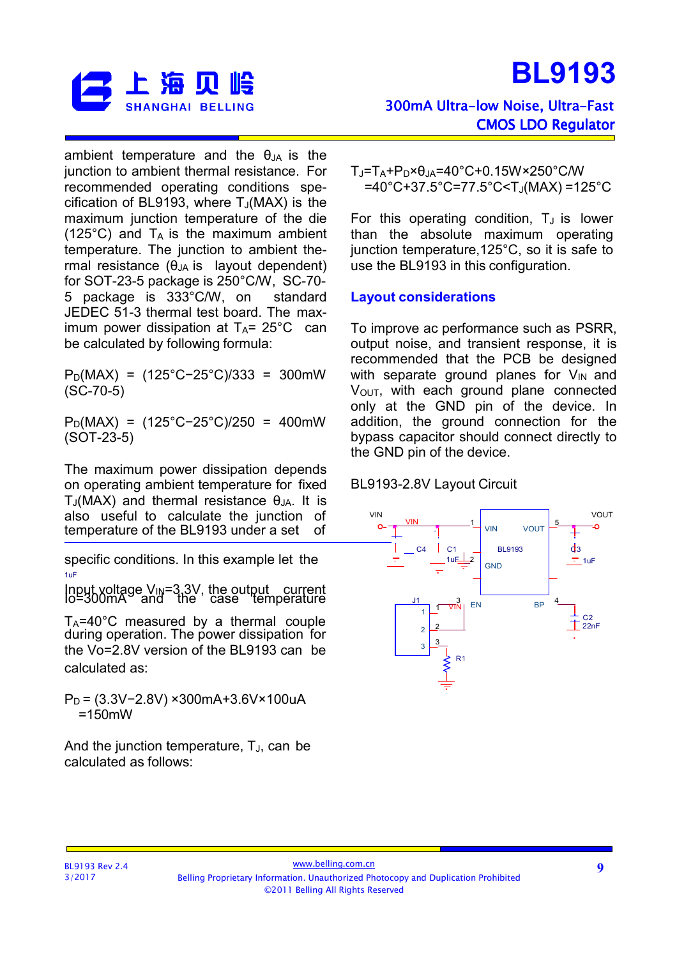

#### 300mA Ultra-low Noise, Ultra-Fast CMOS LDO Regulator

ambient temperature and the  $\theta_{JA}$  is the junction to ambient thermal resistance. For recommended operating conditions specification of BL9193, where  $T_J(MAX)$  is the maximum junction temperature of the die (125 $^{\circ}$ C) and T<sub>A</sub> is the maximum ambient temperature. The junction to ambient thermal resistance ( $θ_{JA}$  is layout dependent) for SOT-23-5 package is 250°C/W, SC-70- 5 package is 333°C/W, on standard JEDEC 51-3 thermal test board. The maximum power dissipation at  $T_A$ = 25°C can be calculated by following formula:

PD(MAX) = (125°C−25°C)/333 = 300mW (SC-70-5)

PD(MAX) = (125°C−25°C)/250 = 400mW (SOT-23-5)

The maximum power dissipation depends on operating ambient temperature for fixed TJ(MAX) and thermal resistance θJA. It is also useful to calculate the junction of temperature of the BL9193 under a set of  $\overline{y}$  or  $\overline{y}$  or  $\overline{y}$  and  $\overline{y}$  vin  $\overline{y}$ 

specific conditions. In this example let the 1uF

Input yoltage  $V_{\text{IN}}=3.3V$ , the output current

 $T_A$ =40°C measured by a thermal couple during operation. The power dissipation for  $\left[2\right]$ the Vo=2.8V version of the BL9193 can be calculated as:

P<sub>D</sub> = (3.3V–2.8V) ×300mA+3.6V×100uA =150mW

And the junction temperature, T<sub>J</sub>, can be calculated as follows:

 $T_J = T_A + P_D \times \theta_{JA} = 40^\circ \text{C} + 0.15 \text{W} \times 250^\circ \text{C/W}$ =40°C+37.5°C=77.5°C<TJ(MAX) =125°C

For this operating condition,  $T_J$  is lower than the absolute maximum operating junction temperature,125°C, so it is safe to use the BL9193 in this configuration.

#### **Layout considerations**

To improve ac performance such as PSRR, output noise, and transient response, it is recommended that the PCB be designed with separate ground planes for  $V_{IN}$  and V<sub>OUT</sub>, with each ground plane connected only at the GND pin of the device. In addition, the ground connection for the bypass capacitor should connect directly to the GND pin of the device.

#### BL9193-2.8V Layout Circuit

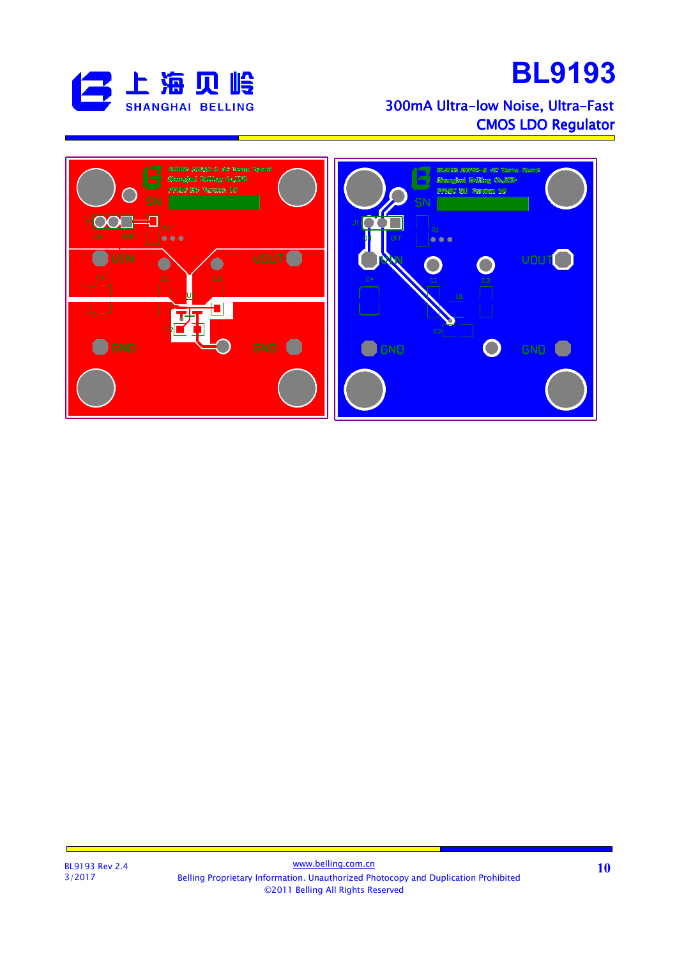

#### 300mA Ultra-low Noise, Ultra-Fast CMOS LDO Regulator



 $\blacksquare$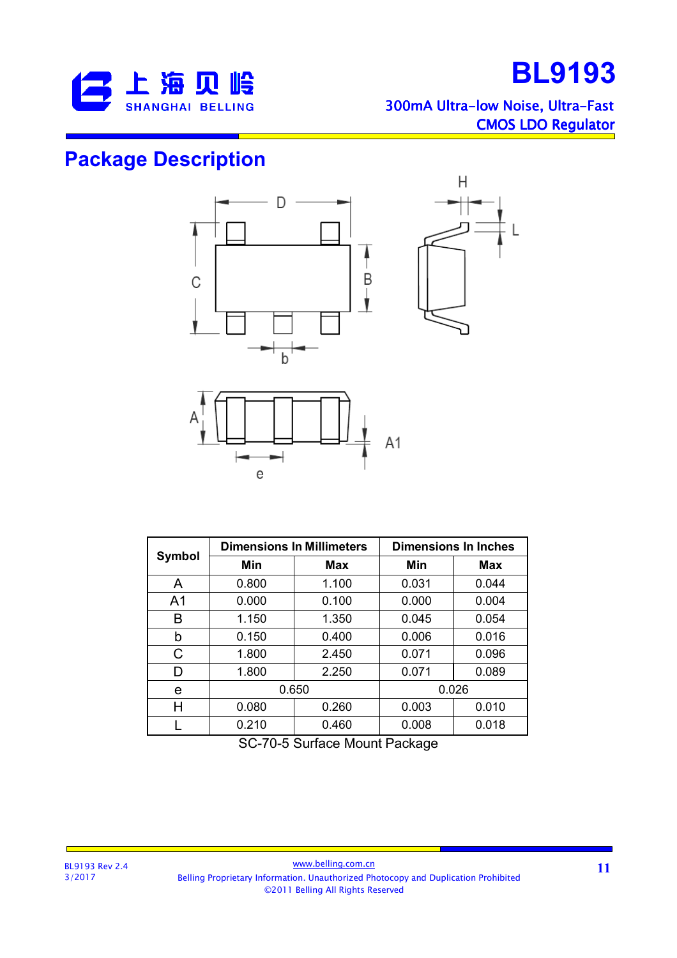

300mA Ultra-low Noise, Ultra-Fast CMOS LDO Regulator

### **Package Description**







| Symbol         |       | <b>Dimensions In Millimeters</b> | <b>Dimensions In Inches</b> |            |  |
|----------------|-------|----------------------------------|-----------------------------|------------|--|
|                | Min   | <b>Max</b>                       | Min                         | <b>Max</b> |  |
| A              | 0.800 | 1.100                            | 0.031                       | 0.044      |  |
| A <sub>1</sub> | 0.000 | 0.100                            | 0.000                       | 0.004      |  |
| B              | 1.150 | 1.350                            | 0.045                       | 0.054      |  |
| b              | 0.150 | 0.400                            | 0.006                       | 0.016      |  |
| C              | 1.800 | 2.450                            | 0.071                       | 0.096      |  |
| D              | 1.800 | 2.250                            | 0.071                       | 0.089      |  |
| e              |       | 0.650                            |                             | 0.026      |  |
| Н              | 0.080 | 0.260                            | 0.003                       | 0.010      |  |
|                | 0.210 | 0.460                            | 0.008                       | 0.018      |  |

SC-70-5 Surface Mount Package

 $\mathbf{r}$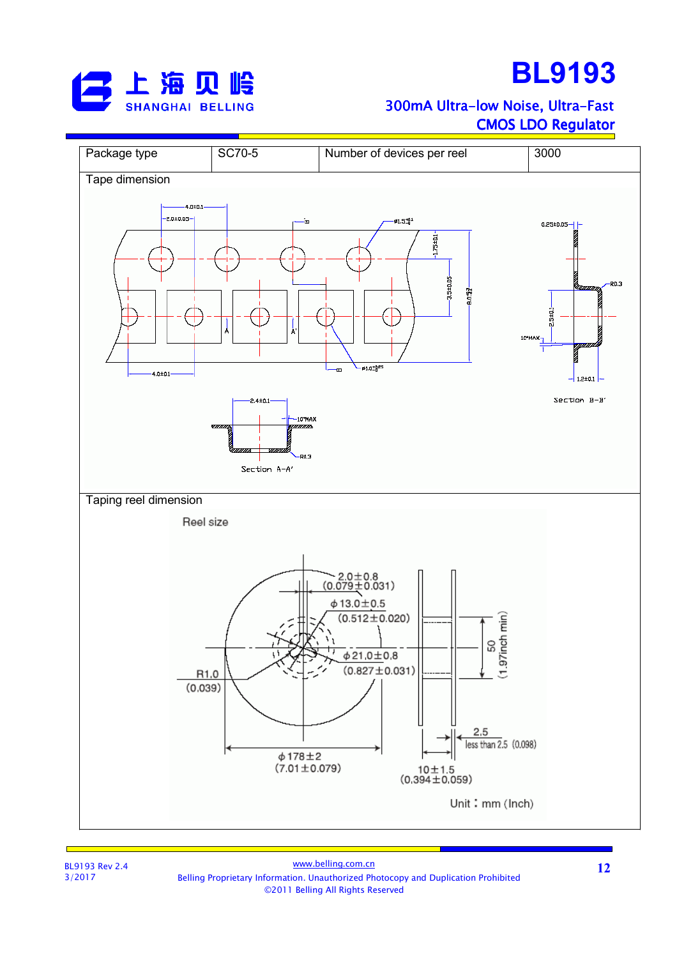

#### 300mA Ultra-low Noise, Ultra-Fast CMOS LDO Regulator



BL9193 Rev 2.4 3/2017

www.belling.com.cn Belling Proprietary Information. Unauthorized Photocopy and Duplication Prohibited ©2011 Belling All Rights Reserved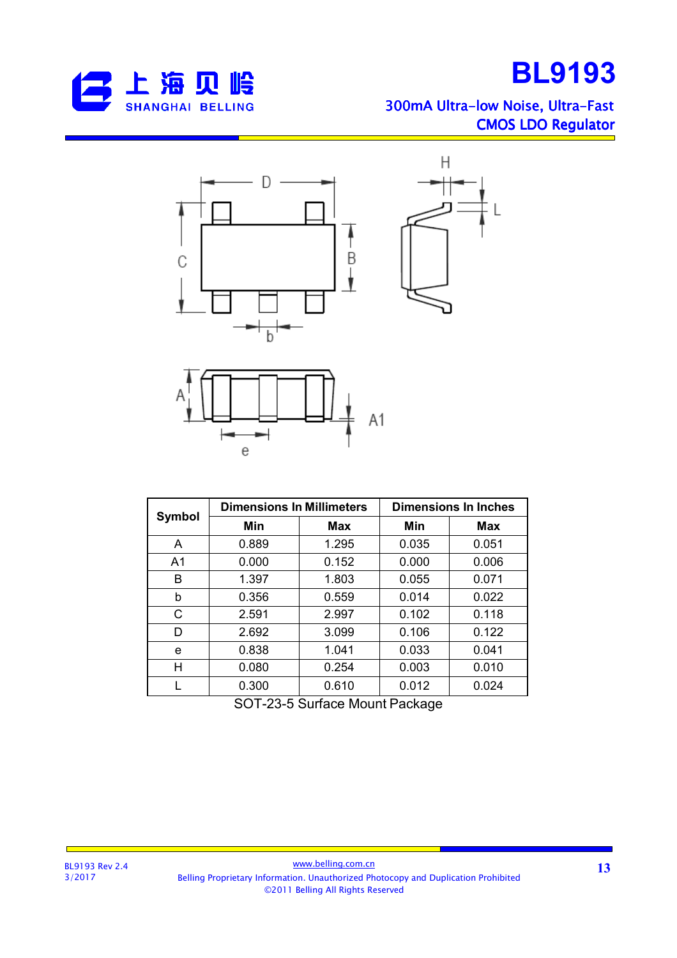

300mA Ultra-low Noise, Ultra-Fast CMOS LDO Regulator

L



e

|                | <b>Dimensions In Millimeters</b> |       | <b>Dimensions In Inches</b> |       |  |
|----------------|----------------------------------|-------|-----------------------------|-------|--|
| Symbol         | Min                              | Max   | Min                         | Max   |  |
| A              | 0.889                            | 1.295 | 0.035                       | 0.051 |  |
| A <sub>1</sub> | 0.000                            | 0.152 | 0.000                       | 0.006 |  |
| B              | 1.397                            | 1.803 | 0.055                       | 0.071 |  |
| b              | 0.356                            | 0.559 | 0.014                       | 0.022 |  |
| C              | 2.591                            | 2.997 | 0.102                       | 0.118 |  |
| D              | 2.692                            | 3.099 | 0.106                       | 0.122 |  |
| e              | 0.838                            | 1.041 | 0.033                       | 0.041 |  |
| н              | 0.080                            | 0.254 | 0.003                       | 0.010 |  |
|                | 0.300                            | 0.610 | 0.012                       | 0.024 |  |

SOT-23-5 Surface Mount Package

 $\blacksquare$